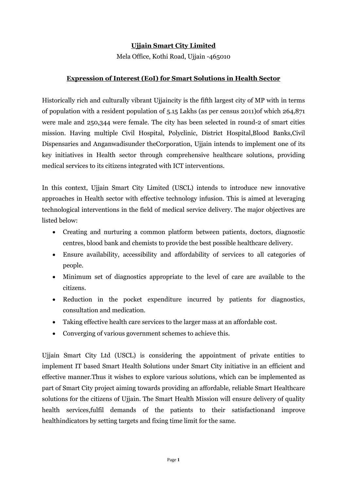### **Ujjain Smart City Limited**

Mela Office, Kothi Road, Ujjain -465010

### **Expression of Interest (EoI) for Smart Solutions in Health Sector**

Historically rich and culturally vibrant Ujjaincity is the fifth largest city of MP with in terms of population with a resident population of 5.15 Lakhs (as per census 2011)of which 264,871 were male and 250,344 were female. The city has been selected in round-2 of smart cities mission. Having multiple Civil Hospital, Polyclinic, District Hospital,Blood Banks,Civil Dispensaries and Anganwadisunder theCorporation, Ujjain intends to implement one of its key initiatives in Health sector through comprehensive healthcare solutions, providing medical services to its citizens integrated with ICT interventions.

In this context, Ujjain Smart City Limited (USCL) intends to introduce new innovative approaches in Health sector with effective technology infusion. This is aimed at leveraging technological interventions in the field of medical service delivery. The major objectives are listed below:

- Creating and nurturing a common platform between patients, doctors, diagnostic centres, blood bank and chemists to provide the best possible healthcare delivery.
- Ensure availability, accessibility and affordability of services to all categories of people.
- Minimum set of diagnostics appropriate to the level of care are available to the citizens.
- Reduction in the pocket expenditure incurred by patients for diagnostics, consultation and medication.
- Taking effective health care services to the larger mass at an affordable cost.
- Converging of various government schemes to achieve this.

Ujjain Smart City Ltd (USCL) is considering the appointment of private entities to implement IT based Smart Health Solutions under Smart City initiative in an efficient and effective manner.Thus it wishes to explore various solutions, which can be implemented as part of Smart City project aiming towards providing an affordable, reliable Smart Healthcare solutions for the citizens of Ujjain. The Smart Health Mission will ensure delivery of quality health services,fulfil demands of the patients to their satisfactionand improve healthindicators by setting targets and fixing time limit for the same.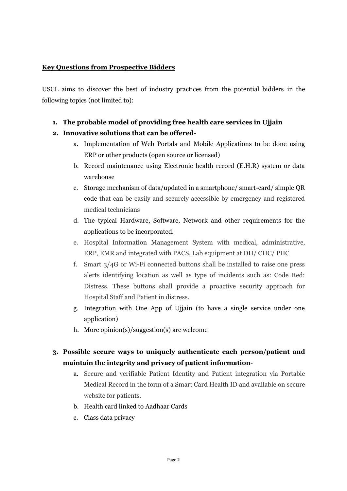#### **Key Questions from Prospective Bidders**

USCL aims to discover the best of industry practices from the potential bidders in the following topics (not limited to):

**1. The probable model of providing free health care services in Ujjain**

### **2. Innovative solutions that can be offered**-

- a. Implementation of Web Portals and Mobile Applications to be done using ERP or other products (open source or licensed)
- b. Record maintenance using Electronic health record (E.H.R) system or data warehouse
- c. Storage mechanism of data/updated in a smartphone/ smart-card/ simple QR code that can be easily and securely accessible by emergency and registered medical technicians
- d. The typical Hardware, Software, Network and other requirements for the applications to be incorporated.
- e. Hospital Information Management System with medical, administrative, ERP, EMR and integrated with PACS, Lab equipment at DH/ CHC/ PHC
- f. Smart 3/4G or Wi-Fi connected buttons shall be installed to raise one press alerts identifying location as well as type of incidents such as: Code Red: Distress. These buttons shall provide a proactive security approach for Hospital Staff and Patient in distress.
- g. Integration with One App of Ujjain (to have a single service under one application)
- h. More opinion(s)/suggestion(s) are welcome

### **3. Possible secure ways to uniquely authenticate each person/patient and maintain the integrity and privacy of patient information**-

- a. Secure and verifiable Patient Identity and Patient integration via Portable Medical Record in the form of a Smart Card Health ID and available on secure website for patients.
- b. Health card linked to Aadhaar Cards
- c. Class data privacy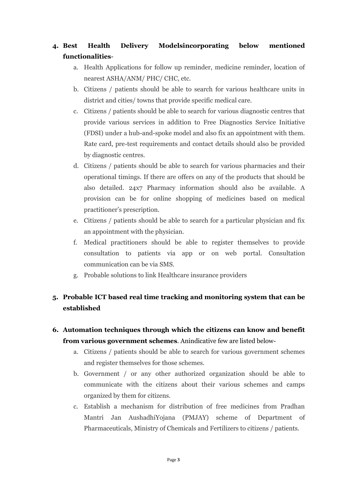### **4. Best Health Delivery Modelsincorporating below mentioned functionalities**-

- a. Health Applications for follow up reminder, medicine reminder, location of nearest ASHA/ANM/ PHC/ CHC, etc.
- b. Citizens / patients should be able to search for various healthcare units in district and cities/ towns that provide specific medical care.
- c. Citizens / patients should be able to search for various diagnostic centres that provide various services in addition to Free Diagnostics Service Initiative (FDSI) under a hub-and-spoke model and also fix an appointment with them. Rate card, pre-test requirements and contact details should also be provided by diagnostic centres.
- d. Citizens / patients should be able to search for various pharmacies and their operational timings. If there are offers on any of the products that should be also detailed. 24x7 Pharmacy information should also be available. A provision can be for online shopping of medicines based on medical practitioner's prescription.
- e. Citizens / patients should be able to search for a particular physician and fix an appointment with the physician.
- f. Medical practitioners should be able to register themselves to provide consultation to patients via app or on web portal. Consultation communication can be via SMS.
- g. Probable solutions to link Healthcare insurance providers

# **5. Probable ICT based real time tracking and monitoring system that can be established**

### **6. Automation techniques through which the citizens can know and benefit from various government schemes**. Anindicative few are listed below-

- a. Citizens / patients should be able to search for various government schemes and register themselves for those schemes.
- b. Government / or any other authorized organization should be able to communicate with the citizens about their various schemes and camps organized by them for citizens.
- c. Establish a mechanism for distribution of free medicines from Pradhan Mantri Jan AushadhiYojana (PMJAY) scheme of Department of Pharmaceuticals, Ministry of Chemicals and Fertilizers to citizens / patients.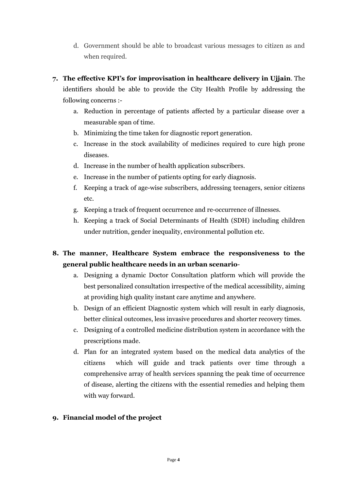- d. Government should be able to broadcast various messages to citizen as and when required.
- **7. The effective KPI's for improvisation in healthcare delivery in Ujjain**. The identifiers should be able to provide the City Health Profile by addressing the following concerns :
	- a. Reduction in percentage of patients affected by a particular disease over a measurable span of time.
	- b. Minimizing the time taken for diagnostic report generation.
	- c. Increase in the stock availability of medicines required to cure high prone diseases.
	- d. Increase in the number of health application subscribers.
	- e. Increase in the number of patients opting for early diagnosis.
	- f. Keeping a track of age-wise subscribers, addressing teenagers, senior citizens etc.
	- g. Keeping a track of frequent occurrence and re-occurrence of illnesses.
	- h. Keeping a track of Social Determinants of Health (SDH) including children under nutrition, gender inequality, environmental pollution etc.

# **8. The manner, Healthcare System embrace the responsiveness to the general public healthcare needs in an urban scenario**-

- a. Designing a dynamic Doctor Consultation platform which will provide the best personalized consultation irrespective of the medical accessibility, aiming at providing high quality instant care anytime and anywhere.
- b. Design of an efficient Diagnostic system which will result in early diagnosis, better clinical outcomes, less invasive procedures and shorter recovery times.
- c. Designing of a controlled medicine distribution system in accordance with the prescriptions made.
- d. Plan for an integrated system based on the medical data analytics of the citizens which will guide and track patients over time through a comprehensive array of health services spanning the peak time of occurrence of disease, alerting the citizens with the essential remedies and helping them with way forward.

### **9. Financial model of the project**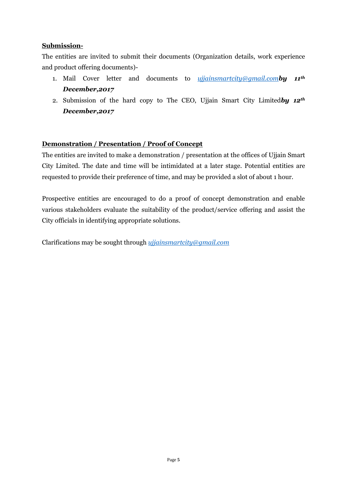#### **Submission-**

The entities are invited to submit their documents (Organization details, work experience and product offering documents)-

- 1. Mail Cover letter and documents to *[ujjainsmartcity@gmail.com](mailto:ujjainsmartcity@gmail.com)by 11th December,2017*
- 2. Submission of the hard copy to The CEO, Ujjain Smart City Limited*by 12th December,2017*

### **Demonstration / Presentation / Proof of Concept**

The entities are invited to make a demonstration / presentation at the offices of Ujjain Smart City Limited. The date and time will be intimidated at a later stage. Potential entities are requested to provide their preference of time, and may be provided a slot of about 1 hour.

Prospective entities are encouraged to do a proof of concept demonstration and enable various stakeholders evaluate the suitability of the product/service offering and assist the City officials in identifying appropriate solutions.

Clarifications may be sought through *[ujjainsmartcity@gmail.com](mailto:ujjainsmartcity@gmail.com)*